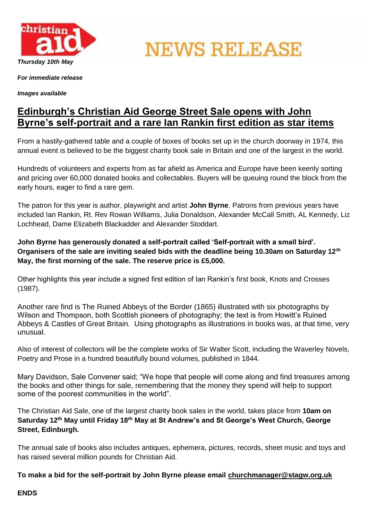

**NEWS RELEASE** 

*For immediate release*

*Images available*

## **Edinburgh's Christian Aid George Street Sale opens with John Byrne's self-portrait and a rare Ian Rankin first edition as star items**

From a hastily-gathered table and a couple of boxes of books set up in the church doorway in 1974, this annual event is believed to be the biggest charity book sale in Britain and one of the largest in the world.

Hundreds of volunteers and experts from as far afield as America and Europe have been keenly sorting and pricing over 60,000 donated books and collectables. Buyers will be queuing round the block from the early hours, eager to find a rare gem.

The patron for this year is author, playwright and artist **John Byrne**. Patrons from previous years have included Ian Rankin, Rt. Rev Rowan Williams, Julia Donaldson, Alexander McCall Smith, AL Kennedy, Liz Lochhead, Dame Elizabeth Blackadder and Alexander Stoddart.

**John Byrne has generously donated a self-portrait called 'Self-portrait with a small bird'. Organisers of the sale are inviting sealed bids with the deadline being 10.30am on Saturday 12th May, the first morning of the sale. The reserve price is £5,000.**

Other highlights this year include a signed first edition of Ian Rankin's first book, Knots and Crosses (1987).

Another rare find is The Ruined Abbeys of the Border (1865) illustrated with six photographs by Wilson and Thompson, both Scottish pioneers of photography; the text is from Howitt's Ruined Abbeys & Castles of Great Britain. Using photographs as illustrations in books was, at that time, very unusual.

Also of interest of collectors will be the complete works of Sir Walter Scott, including the Waverley Novels, Poetry and Prose in a hundred beautifully bound volumes, published in 1844.

Mary Davidson, Sale Convener said; "We hope that people will come along and find treasures among the books and other things for sale, remembering that the money they spend will help to support some of the poorest communities in the world".

The Christian Aid Sale, one of the largest charity book sales in the world, takes place from **10am on Saturday 12th May until Friday 18th May at St Andrew's and St George's West Church, George Street, Edinburgh.**

The annual sale of books also includes antiques, ephemera, pictures, records, sheet music and toys and has raised several million pounds for Christian Aid.

**To make a bid for the self-portrait by John Byrne please email [churchmanager@stagw.org.uk](mailto:churchmanager@stagw.org.uk)**

## **ENDS**